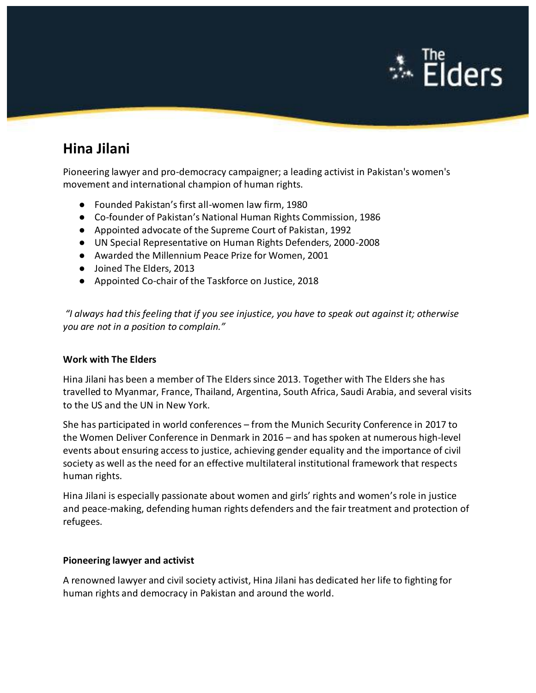

# **Hina Jilani**

Pioneering lawyer and pro-democracy campaigner; a leading activist in Pakistan's women's movement and international champion of human rights.

- Founded Pakistan's first all-women law firm, 1980
- Co-founder of Pakistan's National Human Rights Commission, 1986
- Appointed advocate of the Supreme Court of Pakistan, 1992
- UN Special Representative on Human Rights Defenders, 2000-2008
- Awarded the Millennium Peace Prize for Women, 2001
- Joined The Elders, 2013
- Appointed Co-chair of the Taskforce on Justice, 2018

*"I always had this feeling that if you see injustice, you have to speak out against it; otherwise you are not in a position to complain."*

#### **Work with The Elders**

Hina Jilani has been a member of The Elders since 2013. Together with The Elders she has travelled to Myanmar, France, Thailand, Argentina, South Africa, Saudi Arabia, and several visits to the US and the UN in New York.

She has participated in world conferences – from the Munich Security Conference in 2017 to the Women Deliver Conference in Denmark in 2016 – and has spoken at numerous high-level events about ensuring access to justice, achieving gender equality and the importance of civil society as well as the need for an effective multilateral institutional framework that respects human rights.

Hina Jilani is especially passionate about women and girls' rights and women's role in justice and peace-making, defending human rights defenders and the fair treatment and protection of refugees.

#### **Pioneering lawyer and activist**

A renowned lawyer and civil society activist, Hina Jilani has dedicated her life to fighting for human rights and democracy in Pakistan and around the world.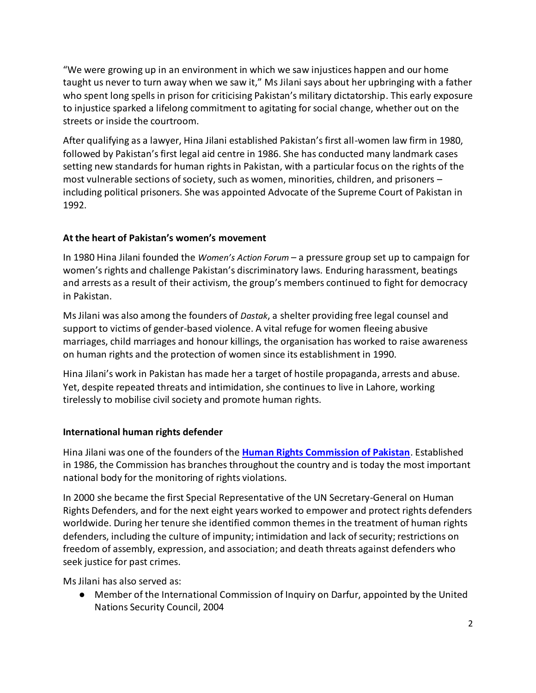"We were growing up in an environment in which we saw injustices happen and our home taught us never to turn away when we saw it," Ms Jilani says about her upbringing with a father who spent long spells in prison for criticising Pakistan's military dictatorship. This early exposure to injustice sparked a lifelong commitment to agitating for social change, whether out on the streets or inside the courtroom.

After qualifying as a lawyer, Hina Jilani established Pakistan's first all-women law firm in 1980, followed by Pakistan's first legal aid centre in 1986. She has conducted many landmark cases setting new standards for human rights in Pakistan, with a particular focus on the rights of the most vulnerable sections of society, such as women, minorities, children, and prisoners – including political prisoners. She was appointed Advocate of the Supreme Court of Pakistan in 1992.

## **At the heart of Pakistan's women's movement**

In 1980 Hina Jilani founded the *Women's Action Forum* – a pressure group set up to campaign for women's rights and challenge Pakistan's discriminatory laws. Enduring harassment, beatings and arrests as a result of their activism, the group's members continued to fight for democracy in Pakistan.

Ms Jilani was also among the founders of *Dastak*, a shelter providing free legal counsel and support to victims of gender-based violence. A vital refuge for women fleeing abusive marriages, child marriages and honour killings, the organisation has worked to raise awareness on human rights and the protection of women since its establishment in 1990.

Hina Jilani's work in Pakistan has made her a target of hostile propaganda, arrests and abuse. Yet, despite repeated threats and intimidation, she continues to live in Lahore, working tirelessly to mobilise civil society and promote human rights.

### **International human rights defender**

Hina Jilani was one of the founders of the **[Human Rights Commission of Pakistan](http://hrcp-web.org/hrcpweb/)**. Established in 1986, the Commission has branches throughout the country and is today the most important national body for the monitoring of rights violations.

In 2000 she became the first Special Representative of the UN Secretary-General on Human Rights Defenders, and for the next eight years worked to empower and protect rights defenders worldwide. During her tenure she identified common themes in the treatment of human rights defenders, including the culture of impunity; intimidation and lack of security; restrictions on freedom of assembly, expression, and association; and death threats against defenders who seek justice for past crimes.

Ms Jilani has also served as:

● Member of the International Commission of Inquiry on Darfur, appointed by the United Nations Security Council, 2004